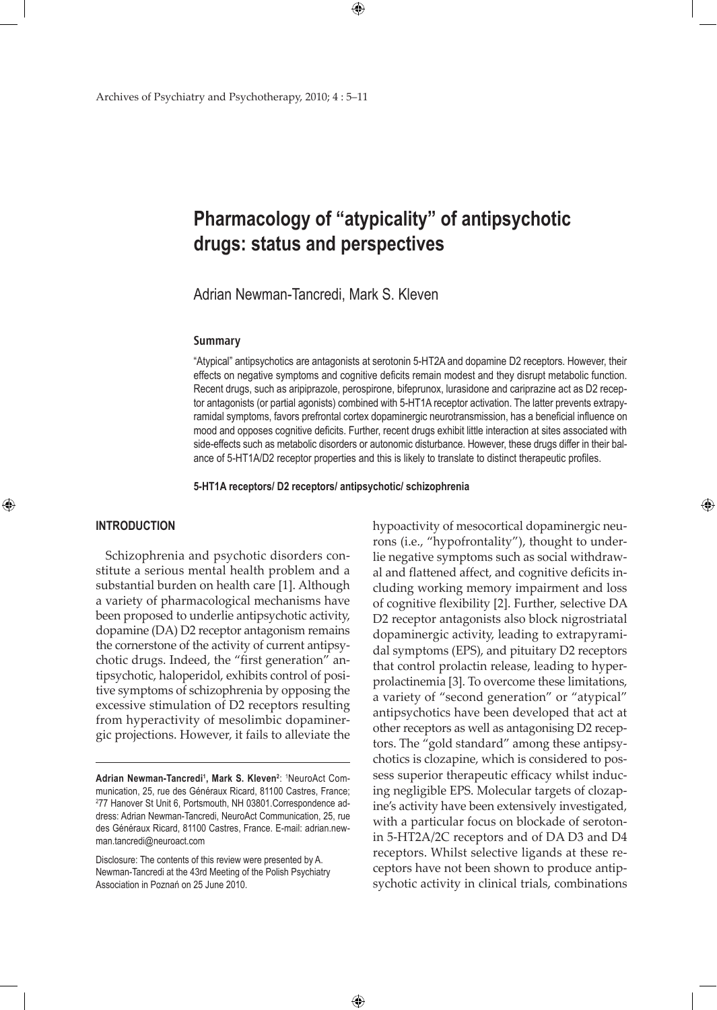# **Pharmacology of "atypicality" of antipsychotic drugs: status and perspectives**

Adrian Newman-Tancredi, Mark S. Kleven

### **Summary**

"Atypical" antipsychotics are antagonists at serotonin 5-HT2A and dopamine D2 receptors. However, their effects on negative symptoms and cognitive deficits remain modest and they disrupt metabolic function. Recent drugs, such as aripiprazole, perospirone, bifeprunox, lurasidone and cariprazine act as D2 receptor antagonists (or partial agonists) combined with 5-HT1A receptor activation. The latter prevents extrapyramidal symptoms, favors prefrontal cortex dopaminergic neurotransmission, has a beneficial influence on mood and opposes cognitive deficits. Further, recent drugs exhibit little interaction at sites associated with side-effects such as metabolic disorders or autonomic disturbance. However, these drugs differ in their balance of 5-HT1A/D2 receptor properties and this is likely to translate to distinct therapeutic profiles.

**5-HT1A receptors/ D2 receptors/ antipsychotic/ schizophrenia** 

 $\bigoplus$ 

### **INTRODUCTION**

⊕

Schizophrenia and psychotic disorders constitute a serious mental health problem and a substantial burden on health care [1]. Although a variety of pharmacological mechanisms have been proposed to underlie antipsychotic activity, dopamine (DA) D2 receptor antagonism remains the cornerstone of the activity of current antipsychotic drugs. Indeed, the "first generation" antipsychotic, haloperidol, exhibits control of positive symptoms of schizophrenia by opposing the excessive stimulation of D2 receptors resulting from hyperactivity of mesolimbic dopaminergic projections. However, it fails to alleviate the

hypoactivity of mesocortical dopaminergic neurons (i.e., "hypofrontality"), thought to underlie negative symptoms such as social withdrawal and flattened affect, and cognitive deficits including working memory impairment and loss of cognitive flexibility [2]. Further, selective DA D2 receptor antagonists also block nigrostriatal dopaminergic activity, leading to extrapyramidal symptoms (EPS), and pituitary D2 receptors that control prolactin release, leading to hyperprolactinemia [3]. To overcome these limitations, a variety of "second generation" or "atypical" antipsychotics have been developed that act at other receptors as well as antagonising D2 receptors. The "gold standard" among these antipsychotics is clozapine, which is considered to possess superior therapeutic efficacy whilst inducing negligible EPS. Molecular targets of clozapine's activity have been extensively investigated, with a particular focus on blockade of serotonin 5-HT2A/2C receptors and of DA D3 and D4 receptors. Whilst selective ligands at these receptors have not been shown to produce antipsychotic activity in clinical trials, combinations

⊕

**Adrian Newman-Tancredi<sup>1</sup>, Mark S. Kleven<sup>2</sup>: <sup>1</sup>NeuroAct Com**munication, 25, rue des Généraux Ricard, 81100 Castres, France; 2 77 Hanover St Unit 6, Portsmouth, NH 03801.Correspondence address: Adrian Newman-Tancredi, NeuroAct Communication, 25, rue des Généraux Ricard, 81100 Castres, France. E-mail: adrian.newman.tancredi@neuroact.com

Disclosure: The contents of this review were presented by A. Newman-Tancredi at the 43rd Meeting of the Polish Psychiatry Association in Poznań on 25 June 2010.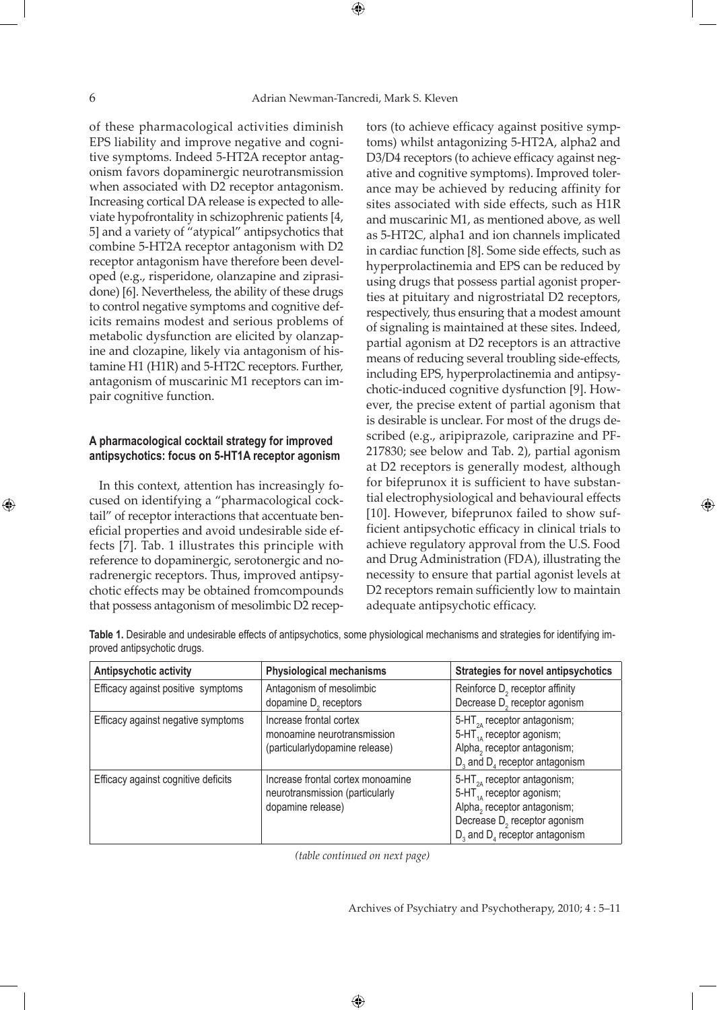⊕

⊕

of these pharmacological activities diminish EPS liability and improve negative and cognitive symptoms. Indeed 5-HT2A receptor antagonism favors dopaminergic neurotransmission when associated with D2 receptor antagonism. Increasing cortical DA release is expected to alleviate hypofrontality in schizophrenic patients [4, 5] and a variety of "atypical" antipsychotics that combine 5-HT2A receptor antagonism with D2 receptor antagonism have therefore been developed (e.g., risperidone, olanzapine and ziprasidone) [6]. Nevertheless, the ability of these drugs to control negative symptoms and cognitive deficits remains modest and serious problems of metabolic dysfunction are elicited by olanzapine and clozapine, likely via antagonism of histamine H1 (H1R) and 5-HT2C receptors. Further, antagonism of muscarinic M1 receptors can impair cognitive function.

### **A pharmacological cocktail strategy for improved antipsychotics: focus on 5-HT1A receptor agonism**

In this context, attention has increasingly focused on identifying a "pharmacological cocktail" of receptor interactions that accentuate beneficial properties and avoid undesirable side effects [7]. Tab. 1 illustrates this principle with reference to dopaminergic, serotonergic and noradrenergic receptors. Thus, improved antipsychotic effects may be obtained fromcompounds that possess antagonism of mesolimbic D2 receptors (to achieve efficacy against positive symptoms) whilst antagonizing 5-HT2A, alpha2 and D3/D4 receptors (to achieve efficacy against negative and cognitive symptoms). Improved tolerance may be achieved by reducing affinity for sites associated with side effects, such as H1R and muscarinic M1, as mentioned above, as well as 5-HT2C, alpha1 and ion channels implicated in cardiac function [8]. Some side effects, such as hyperprolactinemia and EPS can be reduced by using drugs that possess partial agonist properties at pituitary and nigrostriatal D2 receptors, respectively, thus ensuring that a modest amount of signaling is maintained at these sites. Indeed, partial agonism at D2 receptors is an attractive means of reducing several troubling side-effects, including EPS, hyperprolactinemia and antipsychotic-induced cognitive dysfunction [9]. However, the precise extent of partial agonism that is desirable is unclear. For most of the drugs described (e.g., aripiprazole, cariprazine and PF-217830; see below and Tab. 2), partial agonism at D2 receptors is generally modest, although for bifeprunox it is sufficient to have substantial electrophysiological and behavioural effects [10]. However, bifeprunox failed to show sufficient antipsychotic efficacy in clinical trials to achieve regulatory approval from the U.S. Food and Drug Administration (FDA), illustrating the necessity to ensure that partial agonist levels at D2 receptors remain sufficiently low to maintain adequate antipsychotic efficacy.

**Table 1.** Desirable and undesirable effects of antipsychotics, some physiological mechanisms and strategies for identifying improved antipsychotic drugs.

| Antipsychotic activity              | <b>Physiological mechanisms</b>                                                           | <b>Strategies for novel antipsychotics</b>                                                                                                                                                  |
|-------------------------------------|-------------------------------------------------------------------------------------------|---------------------------------------------------------------------------------------------------------------------------------------------------------------------------------------------|
| Efficacy against positive symptoms  | Antagonism of mesolimbic<br>dopamine $D2$ receptors                                       | Reinforce D <sub>2</sub> receptor affinity<br>Decrease D <sub>2</sub> receptor agonism                                                                                                      |
| Efficacy against negative symptoms  | Increase frontal cortex<br>monoamine neurotransmission<br>(particularlydopamine release)  | 5-HT $_{2A}$ receptor antagonism;<br>5-HT <sub>14</sub> receptor agonism;<br>Alpha, receptor antagonism;<br>$D_3$ and $D_4$ receptor antagonism                                             |
| Efficacy against cognitive deficits | Increase frontal cortex monoamine<br>neurotransmission (particularly<br>dopamine release) | 5-HT <sub>24</sub> receptor antagonism;<br>5-HT $_{14}$ receptor agonism;<br>Alpha, receptor antagonism;<br>Decrease D <sub>2</sub> receptor agonism<br>$D_3$ and $D_4$ receptor antagonism |

*(table continued on next page)*

 $\bigoplus$ 

Archives of Psychiatry and Psychotherapy, 2010; 4 : 5–11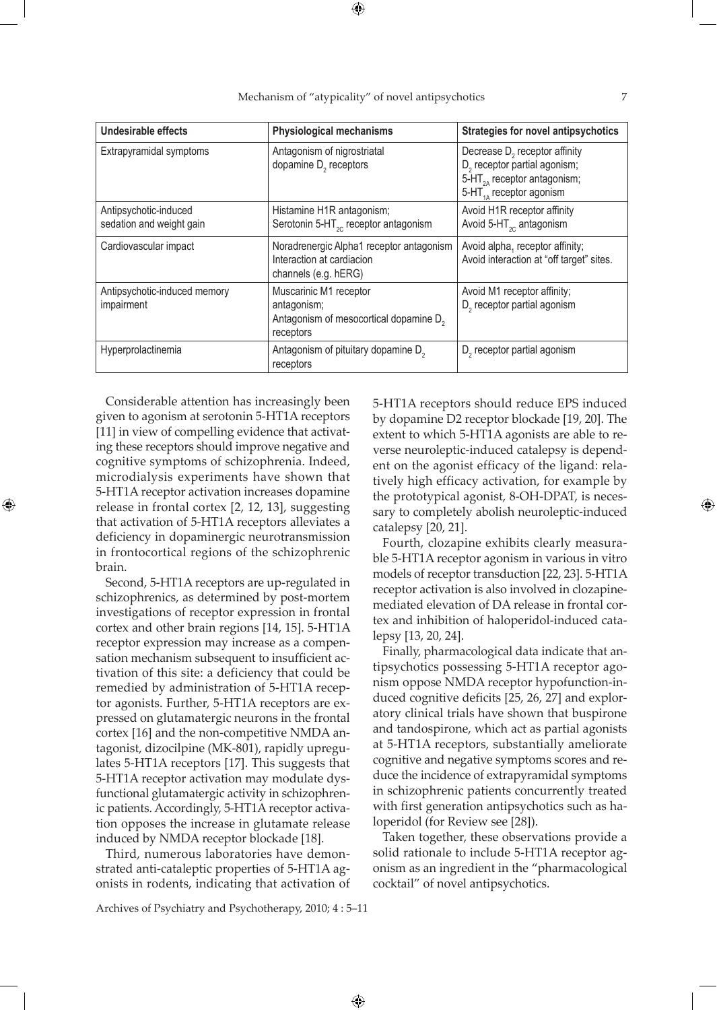| <b>Undesirable effects</b>                        | <b>Physiological mechanisms</b>                                                                          | Strategies for novel antipsychotics                                                                                                                     |
|---------------------------------------------------|----------------------------------------------------------------------------------------------------------|---------------------------------------------------------------------------------------------------------------------------------------------------------|
| Extrapyramidal symptoms                           | Antagonism of nigrostriatal<br>dopamine D <sub>2</sub> receptors                                         | Decrease D <sub>2</sub> receptor affinity<br>D <sub>2</sub> receptor partial agonism;<br>$5-HT2A$ receptor antagonism;<br>5-HT $_{14}$ receptor agonism |
| Antipsychotic-induced<br>sedation and weight gain | Histamine H1R antagonism;<br>Serotonin 5-HT <sub>2C</sub> receptor antagonism                            | Avoid H1R receptor affinity<br>Avoid 5-HT <sub>20</sub> antagonism                                                                                      |
| Cardiovascular impact                             | Noradrenergic Alpha1 receptor antagonism<br>Interaction at cardiacion<br>channels (e.g. hERG)            | Avoid alpha, receptor affinity;<br>Avoid interaction at "off target" sites.                                                                             |
| Antipsychotic-induced memory<br>impairment        | Muscarinic M1 receptor<br>antagonism;<br>Antagonism of mesocortical dopamine D <sub>2</sub><br>receptors | Avoid M1 receptor affinity;<br>D <sub>2</sub> receptor partial agonism                                                                                  |
| Hyperprolactinemia                                | Antagonism of pituitary dopamine D <sub>2</sub><br>receptors                                             | D <sub>2</sub> receptor partial agonism                                                                                                                 |

Mechanism of "atypicality" of novel antipsychotics 7

⊕

Considerable attention has increasingly been given to agonism at serotonin 5-HT1A receptors [11] in view of compelling evidence that activating these receptors should improve negative and cognitive symptoms of schizophrenia. Indeed, microdialysis experiments have shown that 5-HT1A receptor activation increases dopamine release in frontal cortex [2, 12, 13], suggesting that activation of 5-HT1A receptors alleviates a deficiency in dopaminergic neurotransmission in frontocortical regions of the schizophrenic brain.

⊕

Second, 5-HT1A receptors are up-regulated in schizophrenics, as determined by post-mortem investigations of receptor expression in frontal cortex and other brain regions [14, 15]. 5-HT1A receptor expression may increase as a compensation mechanism subsequent to insufficient activation of this site: a deficiency that could be remedied by administration of 5-HT1A receptor agonists. Further, 5-HT1A receptors are expressed on glutamatergic neurons in the frontal cortex [16] and the non-competitive NMDA antagonist, dizocilpine (MK-801), rapidly upregulates 5-HT1A receptors [17]. This suggests that 5-HT1A receptor activation may modulate dysfunctional glutamatergic activity in schizophrenic patients. Accordingly, 5-HT1A receptor activation opposes the increase in glutamate release induced by NMDA receptor blockade [18].

Third, numerous laboratories have demonstrated anti-cataleptic properties of 5-HT1A agonists in rodents, indicating that activation of

Archives of Psychiatry and Psychotherapy, 2010; 4 : 5–11

5-HT1A receptors should reduce EPS induced by dopamine D2 receptor blockade [19, 20]. The extent to which 5-HT1A agonists are able to reverse neuroleptic-induced catalepsy is dependent on the agonist efficacy of the ligand: relatively high efficacy activation, for example by the prototypical agonist, 8-OH-DPAT, is necessary to completely abolish neuroleptic-induced catalepsy [20, 21].

Fourth, clozapine exhibits clearly measurable 5-HT1A receptor agonism in various in vitro models of receptor transduction [22, 23]. 5-HT1A receptor activation is also involved in clozapinemediated elevation of DA release in frontal cortex and inhibition of haloperidol-induced catalepsy [13, 20, 24].

Finally, pharmacological data indicate that antipsychotics possessing 5-HT1A receptor agonism oppose NMDA receptor hypofunction-induced cognitive deficits [25, 26, 27] and exploratory clinical trials have shown that buspirone and tandospirone, which act as partial agonists at 5-HT1A receptors, substantially ameliorate cognitive and negative symptoms scores and reduce the incidence of extrapyramidal symptoms in schizophrenic patients concurrently treated with first generation antipsychotics such as haloperidol (for Review see [28]).

Taken together, these observations provide a solid rationale to include 5-HT1A receptor agonism as an ingredient in the "pharmacological cocktail" of novel antipsychotics.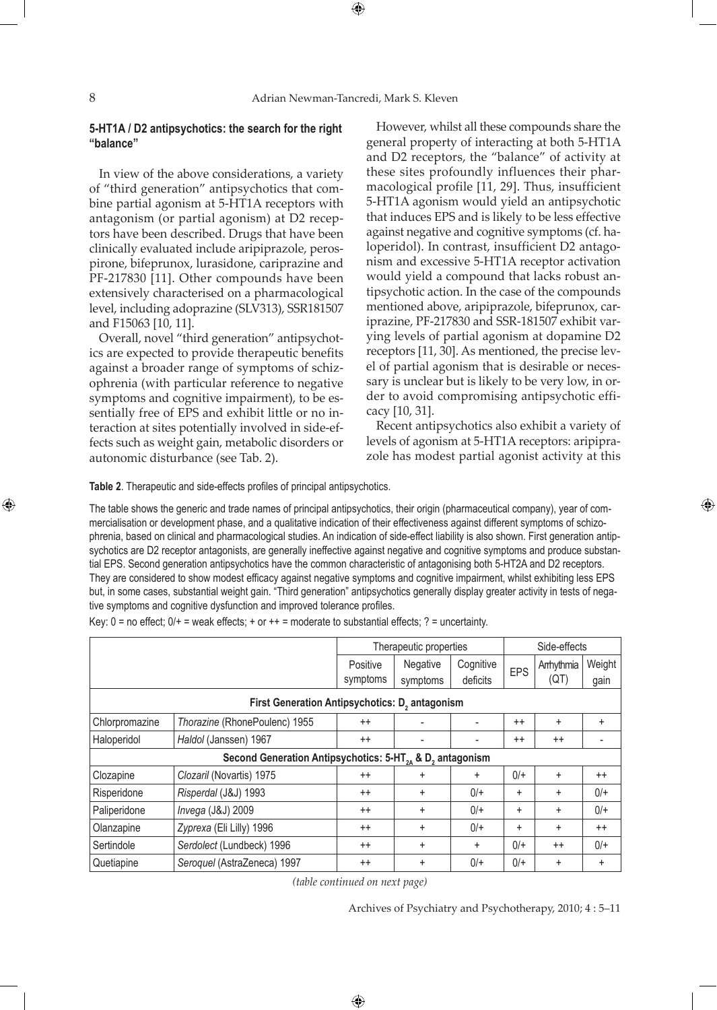$\bigoplus$ 

### **5-HT1A / D2 antipsychotics: the search for the right "balance"**

In view of the above considerations, a variety of "third generation" antipsychotics that combine partial agonism at 5-HT1A receptors with antagonism (or partial agonism) at D2 receptors have been described. Drugs that have been clinically evaluated include aripiprazole, perospirone, bifeprunox, lurasidone, cariprazine and PF-217830 [11]. Other compounds have been extensively characterised on a pharmacological level, including adoprazine (SLV313), SSR181507 and F15063 [10, 11].

Overall, novel "third generation" antipsychotics are expected to provide therapeutic benefits against a broader range of symptoms of schizophrenia (with particular reference to negative symptoms and cognitive impairment), to be essentially free of EPS and exhibit little or no interaction at sites potentially involved in side-effects such as weight gain, metabolic disorders or autonomic disturbance (see Tab. 2).

However, whilst all these compounds share the general property of interacting at both 5-HT1A and D2 receptors, the "balance" of activity at these sites profoundly influences their pharmacological profile [11, 29]. Thus, insufficient 5-HT1A agonism would yield an antipsychotic that induces EPS and is likely to be less effective against negative and cognitive symptoms (cf. haloperidol). In contrast, insufficient D2 antagonism and excessive 5-HT1A receptor activation would yield a compound that lacks robust antipsychotic action. In the case of the compounds mentioned above, aripiprazole, bifeprunox, cariprazine, PF-217830 and SSR-181507 exhibit varying levels of partial agonism at dopamine D2 receptors [11, 30]. As mentioned, the precise level of partial agonism that is desirable or necessary is unclear but is likely to be very low, in order to avoid compromising antipsychotic efficacy [10, 31].

Recent antipsychotics also exhibit a variety of levels of agonism at 5-HT1A receptors: aripiprazole has modest partial agonist activity at this

⊕

**Table 2**. Therapeutic and side-effects profiles of principal antipsychotics.

The table shows the generic and trade names of principal antipsychotics, their origin (pharmaceutical company), year of commercialisation or development phase, and a qualitative indication of their effectiveness against different symptoms of schizophrenia, based on clinical and pharmacological studies. An indication of side-effect liability is also shown. First generation antipsychotics are D2 receptor antagonists, are generally ineffective against negative and cognitive symptoms and produce substantial EPS. Second generation antipsychotics have the common characteristic of antagonising both 5-HT2A and D2 receptors. They are considered to show modest efficacy against negative symptoms and cognitive impairment, whilst exhibiting less EPS but, in some cases, substantial weight gain. "Third generation" antipsychotics generally display greater activity in tests of negative symptoms and cognitive dysfunction and improved tolerance profiles.

|                                                                                  |                               | Therapeutic properties |                         | Side-effects |           |           |           |  |
|----------------------------------------------------------------------------------|-------------------------------|------------------------|-------------------------|--------------|-----------|-----------|-----------|--|
|                                                                                  |                               | Negative<br>Positive   | Cognitive<br><b>EPS</b> | Arrhythmia   | Weight    |           |           |  |
|                                                                                  |                               | symptoms               | symptoms                | deficits     |           | (QT)      | gain      |  |
| First Generation Antipsychotics: D <sub>2</sub> antagonism                       |                               |                        |                         |              |           |           |           |  |
| Chlorpromazine                                                                   | Thorazine (RhonePoulenc) 1955 | $++$                   |                         | ٠            | $++$      | $\ddot{}$ | $+$       |  |
| Haloperidol                                                                      | Haldol (Janssen) 1967         | $^{++}$                |                         | -            | $++$      | $^{++}$   |           |  |
| Second Generation Antipsychotics: 5-HT <sub>34</sub> & D <sub>2</sub> antagonism |                               |                        |                         |              |           |           |           |  |
| Clozapine                                                                        | Clozaril (Novartis) 1975      | $++$                   | ÷                       | $\ddot{}$    | $0/+$     | $\ddot{}$ | $++$      |  |
| Risperidone                                                                      | Risperdal (J&J) 1993          | $^{++}$                | $\ddot{}$               | $0/+$        | $\ddot{}$ | $\ddot{}$ | $0/+$     |  |
| Paliperidone                                                                     | Invega (J&J) 2009             | $++$                   | $\ddot{}$               | $0/+$        | $\ddot{}$ | $\ddot{}$ | $0/+$     |  |
| Olanzapine                                                                       | Zyprexa (Eli Lilly) 1996      | $++$                   | $\ddot{}$               | $0/+$        | $\ddot{}$ | +         | $++$      |  |
| Sertindole                                                                       | Serdolect (Lundbeck) 1996     | $++$                   | $\ddot{}$               | $+$          | $0/+$     | $^{++}$   | $0/+$     |  |
| Quetiapine                                                                       | Seroquel (AstraZeneca) 1997   | $++$                   | $\ddot{}$               | $0/+$        | $0/+$     | $\ddot{}$ | $\ddot{}$ |  |

Key:  $0 =$  no effect;  $0/$  + = weak effects; + or + + = moderate to substantial effects; ? = uncertainty.

*(table continued on next page)*

Archives of Psychiatry and Psychotherapy, 2010; 4 : 5–11

⊕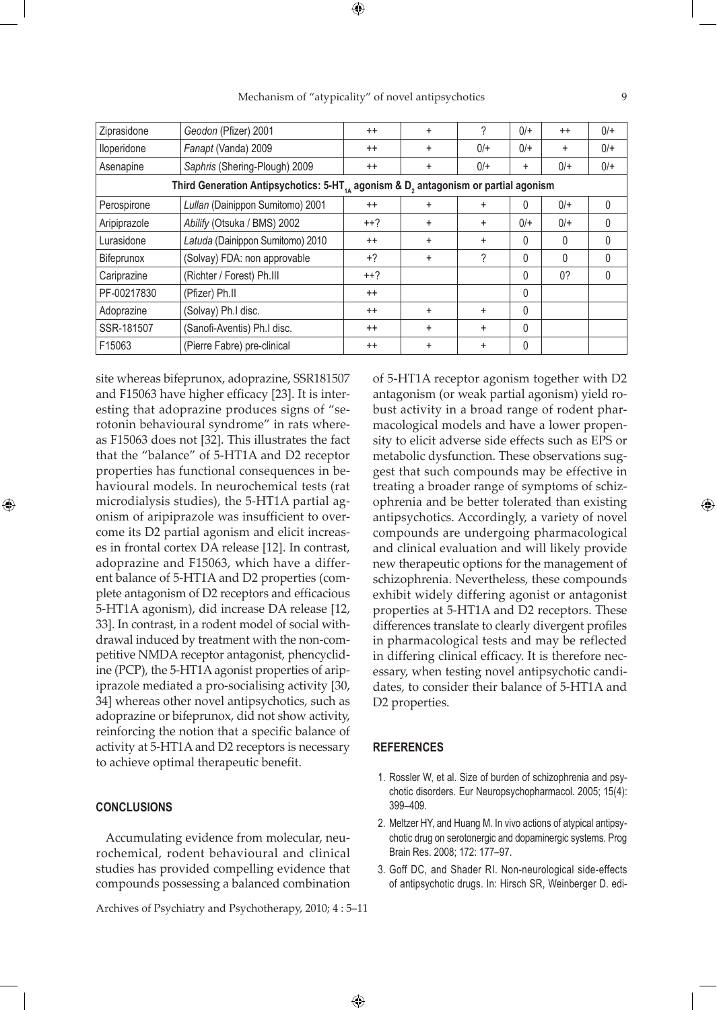| Ziprasidone                                                                                          | Geodon (Pfizer) 2001             | $^{++}$ | $\ddot{}$ | ?         | $0/+$    | $++$      | $0/+$    |
|------------------------------------------------------------------------------------------------------|----------------------------------|---------|-----------|-----------|----------|-----------|----------|
| lloperidone                                                                                          | Fanapt (Vanda) 2009              | $++$    | $\ddot{}$ | $0/+$     | $0/+$    | $\ddot{}$ | $0/+$    |
| Asenapine                                                                                            | Saphris (Shering-Plough) 2009    | $^{++}$ | $\ddot{}$ | $0/+$     | ÷        | $0/+$     | $0/+$    |
| Third Generation Antipsychotics: 5-HT $_{44}$ agonism & D <sub>2</sub> antagonism or partial agonism |                                  |         |           |           |          |           |          |
| Perospirone                                                                                          | Lullan (Dainippon Sumitomo) 2001 | $++$    | $\ddot{}$ | ÷         | $\Omega$ | $0/+$     | $\Omega$ |
| Aripiprazole                                                                                         | Abilify (Otsuka / BMS) 2002      | $++?$   | $\ddot{}$ | $\ddot{}$ | $0/+$    | $0/+$     | $\Omega$ |
| Lurasidone                                                                                           | Latuda (Dainippon Sumitomo) 2010 | $^{++}$ | $\ddot{}$ | $\ddot{}$ | $\Omega$ | $\Omega$  | $\Omega$ |
| Bifeprunox                                                                                           | (Solvay) FDA: non approvable     | $+2$    | $+$       | ?         | 0        | 0         | $\Omega$ |
| Cariprazine                                                                                          | (Richter / Forest) Ph.III        | $++?$   |           |           | $\Omega$ | 0?        | $\Omega$ |
| PF-00217830                                                                                          | (Pfizer) Ph.II                   | $^{++}$ |           |           | $\Omega$ |           |          |
| Adoprazine                                                                                           | (Solvay) Ph.I disc.              | $++$    | ÷         | $\ddot{}$ | $\Omega$ |           |          |
| SSR-181507                                                                                           | (Sanofi-Aventis) Ph.I disc.      | $^{++}$ | $\ddot{}$ | $\ddot{}$ | $\Omega$ |           |          |
| F15063                                                                                               | (Pierre Fabre) pre-clinical      | $++$    | $\ddot{}$ | ÷         | $\Omega$ |           |          |

Mechanism of "atypicality" of novel antipsychotics 9

⊕

site whereas bifeprunox, adoprazine, SSR181507 and F15063 have higher efficacy [23]. It is interesting that adoprazine produces signs of "serotonin behavioural syndrome" in rats whereas F15063 does not [32]. This illustrates the fact that the "balance" of 5-HT1A and D2 receptor properties has functional consequences in behavioural models. In neurochemical tests (rat microdialysis studies), the 5-HT1A partial agonism of aripiprazole was insufficient to overcome its D2 partial agonism and elicit increases in frontal cortex DA release [12]. In contrast, adoprazine and F15063, which have a different balance of 5-HT1A and D2 properties (complete antagonism of D2 receptors and efficacious 5-HT1A agonism), did increase DA release [12, 33]. In contrast, in a rodent model of social withdrawal induced by treatment with the non-competitive NMDA receptor antagonist, phencyclidine (PCP), the 5-HT1A agonist properties of aripiprazole mediated a pro-socialising activity [30, 34] whereas other novel antipsychotics, such as adoprazine or bifeprunox, did not show activity, reinforcing the notion that a specific balance of activity at 5-HT1A and D2 receptors is necessary to achieve optimal therapeutic benefit.

### **CONCLUSIONS**

⊕

Accumulating evidence from molecular, neurochemical, rodent behavioural and clinical studies has provided compelling evidence that compounds possessing a balanced combination

Archives of Psychiatry and Psychotherapy, 2010; 4 : 5–11

of 5-HT1A receptor agonism together with D2 antagonism (or weak partial agonism) yield robust activity in a broad range of rodent pharmacological models and have a lower propensity to elicit adverse side effects such as EPS or metabolic dysfunction. These observations suggest that such compounds may be effective in treating a broader range of symptoms of schizophrenia and be better tolerated than existing antipsychotics. Accordingly, a variety of novel compounds are undergoing pharmacological and clinical evaluation and will likely provide new therapeutic options for the management of schizophrenia. Nevertheless, these compounds exhibit widely differing agonist or antagonist properties at 5-HT1A and D2 receptors. These differences translate to clearly divergent profiles in pharmacological tests and may be reflected in differing clinical efficacy. It is therefore necessary, when testing novel antipsychotic candidates, to consider their balance of 5-HT1A and D2 properties.

### **REFERENCES**

- 1. Rossler W, et al. Size of burden of schizophrenia and psychotic disorders. Eur Neuropsychopharmacol. 2005; 15(4): 399–409.
- 2. Meltzer HY, and Huang M. In vivo actions of atypical antipsychotic drug on serotonergic and dopaminergic systems. Prog Brain Res. 2008; 172: 177–97.
- 3. Goff DC, and Shader RI. Non-neurological side-effects of antipsychotic drugs. In: Hirsch SR, Weinberger D. edi-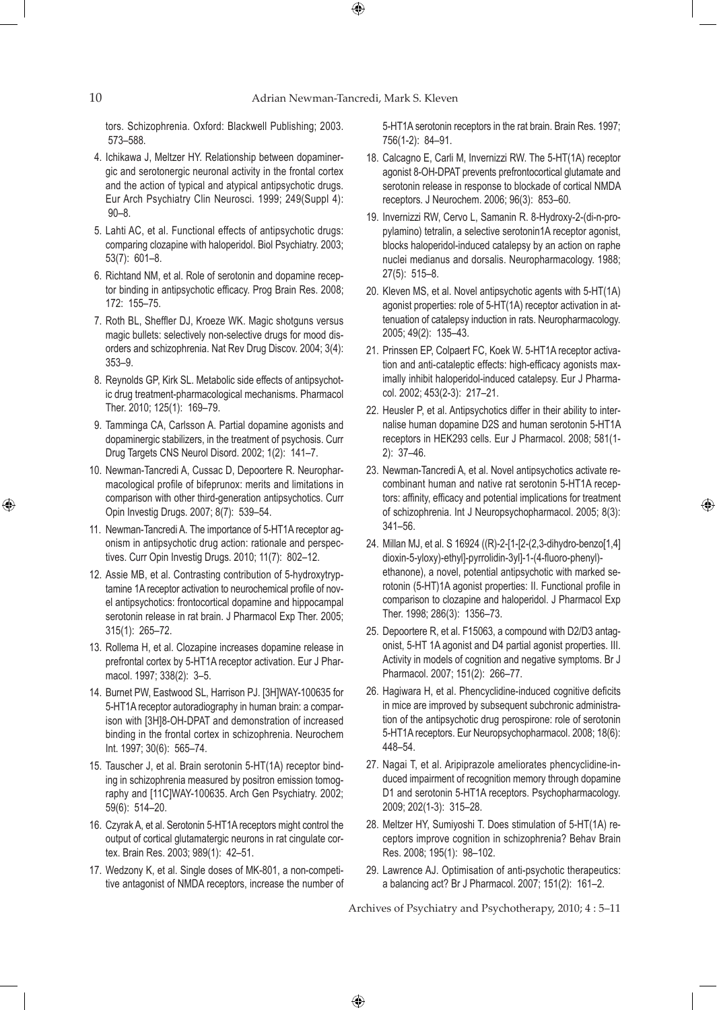$\bigoplus$ 

tors. Schizophrenia. Oxford: Blackwell Publishing; 2003. 573–588.

- 4. Ichikawa J, Meltzer HY. Relationship between dopaminergic and serotonergic neuronal activity in the frontal cortex and the action of typical and atypical antipsychotic drugs. Eur Arch Psychiatry Clin Neurosci. 1999; 249(Suppl 4): 90–8.
- 5. Lahti AC, et al. Functional effects of antipsychotic drugs: comparing clozapine with haloperidol. Biol Psychiatry. 2003; 53(7): 601–8.
- 6. Richtand NM, et al. Role of serotonin and dopamine receptor binding in antipsychotic efficacy. Prog Brain Res. 2008; 172: 155–75.
- 7. Roth BL, Sheffler DJ, Kroeze WK. Magic shotguns versus magic bullets: selectively non-selective drugs for mood disorders and schizophrenia. Nat Rev Drug Discov. 2004; 3(4): 353–9.
- 8. Reynolds GP, Kirk SL. Metabolic side effects of antipsychotic drug treatment-pharmacological mechanisms. Pharmacol Ther. 2010; 125(1): 169–79.
- 9. Tamminga CA, Carlsson A. Partial dopamine agonists and dopaminergic stabilizers, in the treatment of psychosis. Curr Drug Targets CNS Neurol Disord. 2002; 1(2): 141–7.
- 10. Newman-Tancredi A, Cussac D, Depoortere R. Neuropharmacological profile of bifeprunox: merits and limitations in comparison with other third-generation antipsychotics. Curr Opin Investig Drugs. 2007; 8(7): 539–54.
- 11. Newman-Tancredi A. The importance of 5-HT1A receptor agonism in antipsychotic drug action: rationale and perspectives. Curr Opin Investig Drugs. 2010; 11(7): 802–12.
- 12. Assie MB, et al. Contrasting contribution of 5-hydroxytryptamine 1A receptor activation to neurochemical profile of novel antipsychotics: frontocortical dopamine and hippocampal serotonin release in rat brain. J Pharmacol Exp Ther. 2005; 315(1): 265–72.
- 13. Rollema H, et al. Clozapine increases dopamine release in prefrontal cortex by 5-HT1A receptor activation. Eur J Pharmacol. 1997; 338(2): 3–5.
- 14. Burnet PW, Eastwood SL, Harrison PJ. [3H]WAY-100635 for 5-HT1A receptor autoradiography in human brain: a comparison with [3H]8-OH-DPAT and demonstration of increased binding in the frontal cortex in schizophrenia. Neurochem Int. 1997; 30(6): 565–74.
- 15. Tauscher J, et al. Brain serotonin 5-HT(1A) receptor binding in schizophrenia measured by positron emission tomography and [11C]WAY-100635. Arch Gen Psychiatry. 2002; 59(6): 514–20.
- 16. Czyrak A, et al. Serotonin 5-HT1A receptors might control the output of cortical glutamatergic neurons in rat cingulate cortex. Brain Res. 2003; 989(1): 42–51.
- 17. Wedzony K, et al. Single doses of MK-801, a non-competitive antagonist of NMDA receptors, increase the number of

5-HT1A serotonin receptors in the rat brain. Brain Res. 1997; 756(1-2): 84–91.

- 18. Calcagno E, Carli M, Invernizzi RW. The 5-HT(1A) receptor agonist 8-OH-DPAT prevents prefrontocortical glutamate and serotonin release in response to blockade of cortical NMDA receptors. J Neurochem. 2006; 96(3): 853–60.
- 19. Invernizzi RW, Cervo L, Samanin R. 8-Hydroxy-2-(di-n-propylamino) tetralin, a selective serotonin1A receptor agonist, blocks haloperidol-induced catalepsy by an action on raphe nuclei medianus and dorsalis. Neuropharmacology. 1988; 27(5): 515–8.
- 20. Kleven MS, et al. Novel antipsychotic agents with 5-HT(1A) agonist properties: role of 5-HT(1A) receptor activation in attenuation of catalepsy induction in rats. Neuropharmacology. 2005; 49(2): 135–43.
- 21. Prinssen EP, Colpaert FC, Koek W. 5-HT1A receptor activation and anti-cataleptic effects: high-efficacy agonists maximally inhibit haloperidol-induced catalepsy. Eur J Pharmacol. 2002; 453(2-3): 217–21.
- 22. Heusler P, et al. Antipsychotics differ in their ability to internalise human dopamine D2S and human serotonin 5-HT1A receptors in HEK293 cells. Eur J Pharmacol. 2008; 581(1- 2): 37–46.
- 23. Newman-Tancredi A, et al. Novel antipsychotics activate recombinant human and native rat serotonin 5-HT1A receptors: affinity, efficacy and potential implications for treatment of schizophrenia. Int J Neuropsychopharmacol. 2005; 8(3): 341–56.

⊕

- 24. Millan MJ, et al. S 16924 ((R)-2-[1-[2-(2,3-dihydro-benzo[1,4] dioxin-5-yloxy)-ethyl]-pyrrolidin-3yl]-1-(4-fluoro-phenyl) ethanone), a novel, potential antipsychotic with marked serotonin (5-HT)1A agonist properties: II. Functional profile in comparison to clozapine and haloperidol. J Pharmacol Exp Ther. 1998; 286(3): 1356–73.
- 25. Depoortere R, et al. F15063, a compound with D2/D3 antagonist, 5-HT 1A agonist and D4 partial agonist properties. III. Activity in models of cognition and negative symptoms. Br J Pharmacol. 2007; 151(2): 266–77.
- 26. Hagiwara H, et al. Phencyclidine-induced cognitive deficits in mice are improved by subsequent subchronic administration of the antipsychotic drug perospirone: role of serotonin 5-HT1A receptors. Eur Neuropsychopharmacol. 2008; 18(6): 448–54.
- 27. Nagai T, et al. Aripiprazole ameliorates phencyclidine-induced impairment of recognition memory through dopamine D1 and serotonin 5-HT1A receptors. Psychopharmacology. 2009; 202(1-3): 315–28.
- 28. Meltzer HY, Sumiyoshi T. Does stimulation of 5-HT(1A) receptors improve cognition in schizophrenia? Behav Brain Res. 2008; 195(1): 98–102.
- 29. Lawrence AJ. Optimisation of anti-psychotic therapeutics: a balancing act? Br J Pharmacol. 2007; 151(2): 161–2.

Archives of Psychiatry and Psychotherapy, 2010; 4 : 5–11

 $\bigoplus$ 

⊕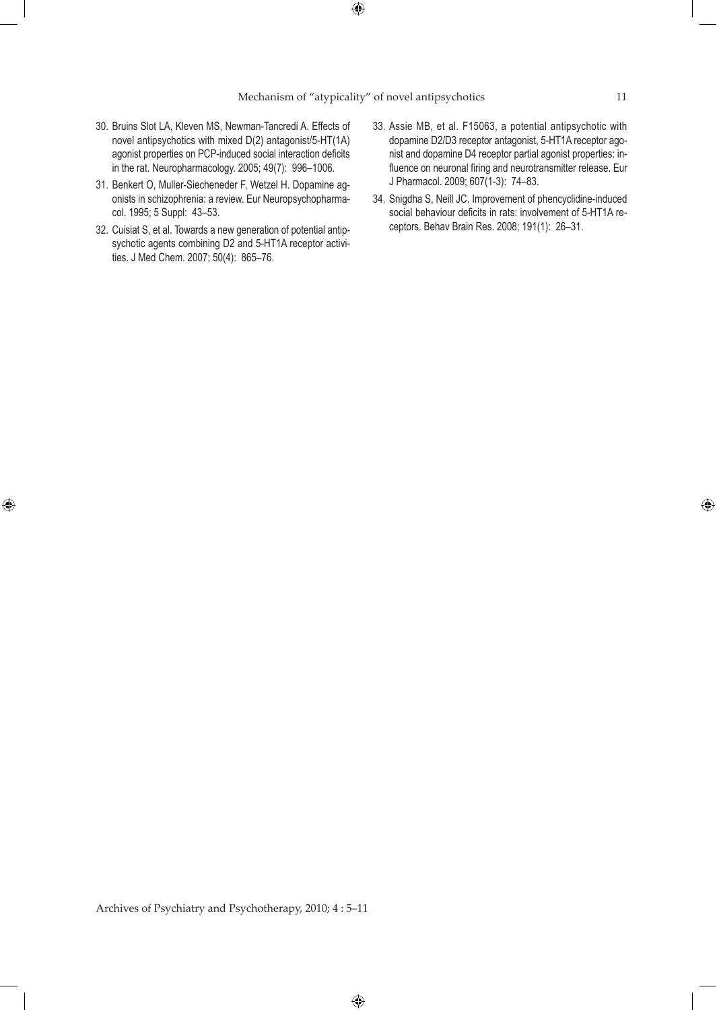- 30. Bruins Slot LA, Kleven MS, Newman-Tancredi A. Effects of novel antipsychotics with mixed D(2) antagonist/5-HT(1A) agonist properties on PCP-induced social interaction deficits in the rat. Neuropharmacology. 2005; 49(7): 996–1006.
- 31. Benkert O, Muller-Siecheneder F, Wetzel H. Dopamine agonists in schizophrenia: a review. Eur Neuropsychopharmacol. 1995; 5 Suppl: 43–53.
- 32. Cuisiat S, et al. Towards a new generation of potential antipsychotic agents combining D2 and 5-HT1A receptor activities. J Med Chem. 2007; 50(4): 865–76.

⊕

- 33. Assie MB, et al. F15063, a potential antipsychotic with dopamine D2/D3 receptor antagonist, 5-HT1A receptor agonist and dopamine D4 receptor partial agonist properties: influence on neuronal firing and neurotransmitter release. Eur J Pharmacol. 2009; 607(1-3): 74–83.
- 34. Snigdha S, Neill JC. Improvement of phencyclidine-induced social behaviour deficits in rats: involvement of 5-HT1A receptors. Behav Brain Res. 2008; 191(1): 26–31.

Archives of Psychiatry and Psychotherapy, 2010; 4 : 5–11

 $\bigoplus$